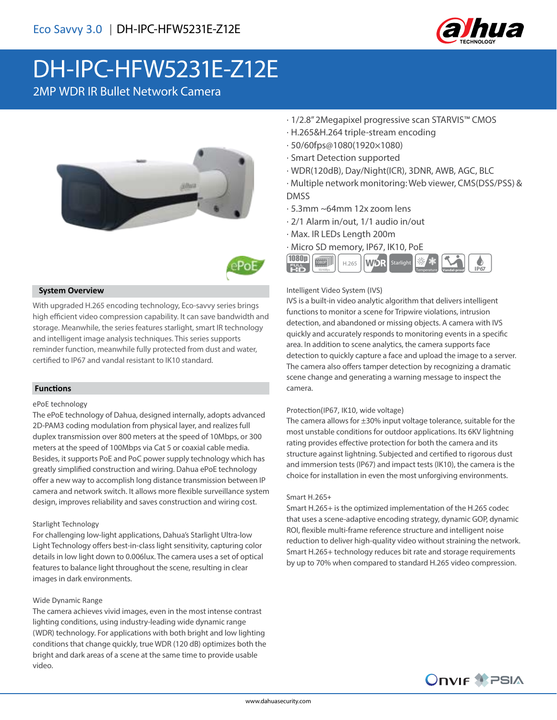

# DH-IPC-HFW5231E-Z12E

2MP WDR IR Bullet Network Camera





# **System Overview**

With upgraded H.265 encoding technology, Eco-savvy series brings high efficient video compression capability. It can save bandwidth and storage. Meanwhile, the series features starlight, smart IR technology and intelligent image analysis techniques. This series supports reminder function, meanwhile fully protected from dust and water, certified to IP67 and vandal resistant to IK10 standard.

# **Functions**

#### ePoE technology

The ePoE technology of Dahua, designed internally, adopts advanced 2D-PAM3 coding modulation from physical layer, and realizes full duplex transmission over 800 meters at the speed of 10Mbps, or 300 meters at the speed of 100Mbps via Cat 5 or coaxial cable media. Besides, it supports PoE and PoC power supply technology which has greatly simplified construction and wiring. Dahua ePoE technology offer a new way to accomplish long distance transmission between IP camera and network switch. It allows more flexible surveillance system design, improves reliability and saves construction and wiring cost.

# Starlight Technology

For challenging low-light applications, Dahua's Starlight Ultra-low Light Technology offers best-in-class light sensitivity, capturing color details in low light down to 0.006lux. The camera uses a set of optical features to balance light throughout the scene, resulting in clear images in dark environments.

# Wide Dynamic Range

The camera achieves vivid images, even in the most intense contrast lighting conditions, using industry-leading wide dynamic range (WDR) technology. For applications with both bright and low lighting conditions that change quickly, true WDR (120 dB) optimizes both the bright and dark areas of a scene at the same time to provide usable video.

- · 1/2.8" 2Megapixel progressive scan STARVIS™ CMOS
- · H.265&H.264 triple-stream encoding
- · 50/60fps@1080(1920×1080)
- · Smart Detection supported
- · WDR(120dB), Day/Night(ICR), 3DNR, AWB, AGC, BLC
- · Multiple network monitoring: Web viewer, CMS(DSS/PSS) & DMSS
- · 5.3mm ~64mm 12x zoom lens
- · 2/1 Alarm in/out, 1/1 audio in/out
- · Max. IR LEDs Length 200m
- · Micro SD memory, IP67, IK10, PoE



# Intelligent Video System (IVS)

IVS is a built-in video analytic algorithm that delivers intelligent functions to monitor a scene for Tripwire violations, intrusion detection, and abandoned or missing objects. A camera with IVS quickly and accurately responds to monitoring events in a specific area. In addition to scene analytics, the camera supports face detection to quickly capture a face and upload the image to a server. The camera also offers tamper detection by recognizing a dramatic scene change and generating a warning message to inspect the camera.

#### Protection(IP67, IK10, wide voltage)

The camera allows for  $\pm 30\%$  input voltage tolerance, suitable for the most unstable conditions for outdoor applications. Its 6KV lightning rating provides effective protection for both the camera and its structure against lightning. Subjected and certified to rigorous dust and immersion tests (IP67) and impact tests (IK10), the camera is the choice for installation in even the most unforgiving environments.

#### Smart H.265+

Smart H.265+ is the optimized implementation of the H.265 codec that uses a scene-adaptive encoding strategy, dynamic GOP, dynamic ROI, flexible multi-frame reference structure and intelligent noise reduction to deliver high-quality video without straining the network. Smart H.265+ technology reduces bit rate and storage requirements by up to 70% when compared to standard H.265 video compression.

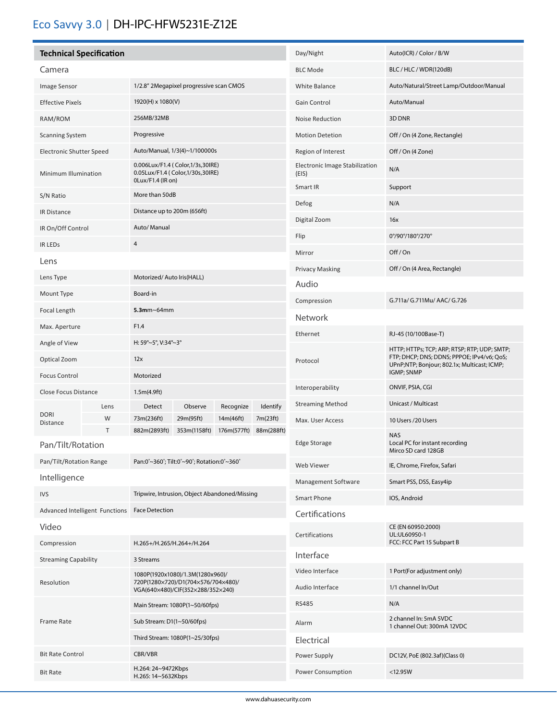# Eco Savvy 3.0 | DH-IPC-HFW5231E-Z12E

|                                      | <b>Technical Specification</b> |                                                                                           |                                               |             | Day/Night       | Auto(ICR) / Color / B/W                 |                                                                                                         |  |
|--------------------------------------|--------------------------------|-------------------------------------------------------------------------------------------|-----------------------------------------------|-------------|-----------------|-----------------------------------------|---------------------------------------------------------------------------------------------------------|--|
| Camera                               |                                |                                                                                           |                                               |             |                 | <b>BLC Mode</b>                         | BLC / HLC / WDR(120dB)                                                                                  |  |
| Image Sensor                         |                                | 1/2.8" 2Megapixel progressive scan CMOS                                                   |                                               |             |                 | White Balance                           | Auto/Natural/Street Lamp/Outdoor/Manual                                                                 |  |
| <b>Effective Pixels</b>              |                                | 1920(H) x 1080(V)                                                                         |                                               |             |                 | <b>Gain Control</b>                     | Auto/Manual                                                                                             |  |
| RAM/ROM                              |                                | 256MB/32MB                                                                                |                                               |             |                 | Noise Reduction                         | 3D DNR                                                                                                  |  |
| <b>Scanning System</b>               |                                | Progressive                                                                               |                                               |             |                 | <b>Motion Detetion</b>                  | Off / On (4 Zone, Rectangle)                                                                            |  |
| <b>Electronic Shutter Speed</b>      |                                | Auto/Manual, 1/3(4)~1/100000s                                                             |                                               |             |                 | Region of Interest                      | Off / On (4 Zone)                                                                                       |  |
| Minimum Illumination                 |                                | 0.006Lux/F1.4 (Color,1/3s,30IRE)<br>0.05Lux/F1.4 (Color,1/30s,30IRE)<br>0Lux/F1.4 (IR on) |                                               |             |                 | Electronic Image Stabilization<br>(EIS) | N/A                                                                                                     |  |
| S/N Ratio                            |                                | More than 50dB                                                                            |                                               |             |                 | Smart IR                                | Support                                                                                                 |  |
| IR Distance                          |                                | Distance up to 200m (656ft)                                                               |                                               |             |                 | Defog                                   | N/A                                                                                                     |  |
| IR On/Off Control                    |                                | Auto/ Manual                                                                              |                                               |             |                 | Digital Zoom                            | 16x                                                                                                     |  |
| <b>IR LEDS</b>                       |                                | $\overline{4}$                                                                            |                                               |             |                 | Flip                                    | 0°/90°/180°/270°                                                                                        |  |
| Lens                                 |                                |                                                                                           |                                               |             |                 | Mirror                                  | Off/On                                                                                                  |  |
| Lens Type                            |                                |                                                                                           |                                               |             |                 | <b>Privacy Masking</b>                  | Off / On (4 Area, Rectangle)                                                                            |  |
|                                      |                                | Motorized/Auto Iris(HALL)<br>Board-in                                                     |                                               |             |                 | Audio                                   |                                                                                                         |  |
| Mount Type                           |                                |                                                                                           |                                               |             |                 | Compression                             | G.711a/ G.711Mu/ AAC/ G.726                                                                             |  |
| Focal Length                         |                                | $5.3$ mm~64mm                                                                             |                                               |             |                 | Network                                 |                                                                                                         |  |
| Max. Aperture                        |                                | F1.4                                                                                      |                                               |             |                 | Ethernet                                | RJ-45 (10/100Base-T)                                                                                    |  |
| Angle of View                        |                                | H: 59°~5°, V:34°~3°                                                                       |                                               |             |                 |                                         | HTTP; HTTPs; TCP; ARP; RTSP; RTP; UDP; SMTP;                                                            |  |
| Optical Zoom<br><b>Focus Control</b> |                                | 12x<br>Motorized                                                                          |                                               |             |                 | Protocol                                | FTP; DHCP; DNS; DDNS; PPPOE; IPv4/v6; QoS;<br>UPnP;NTP; Bonjour; 802.1x; Multicast; ICMP;<br>IGMP; SNMP |  |
| Close Focus Distance                 |                                | 1.5m(4.9ft)                                                                               |                                               |             |                 | Interoperability                        | ONVIF, PSIA, CGI                                                                                        |  |
|                                      | Lens                           | Detect                                                                                    | Observe                                       | Recognize   | <b>Identify</b> | <b>Streaming Method</b>                 | Unicast / Multicast                                                                                     |  |
| <b>DORI</b><br><b>Distance</b>       | W                              | 73m(236ft)                                                                                | 29m(95ft)                                     | 14m(46ft)   | 7m(23ft)        | Max. User Access                        | 10 Users /20 Users                                                                                      |  |
|                                      | Τ                              | 882m(2893ft)                                                                              | 353m(1158ft)                                  | 176m(577ft) | 88m(288ft)      |                                         | <b>NAS</b>                                                                                              |  |
| Pan/Tilt/Rotation                    |                                |                                                                                           |                                               |             |                 | Edge Storage                            | Local PC for instant recording<br>Mirco SD card 128GB                                                   |  |
| Pan/Tilt/Rotation Range              |                                |                                                                                           | Pan:0°~360°; Tilt:0°~90°; Rotation:0°~360°    |             |                 | Web Viewer                              | IE, Chrome, Firefox, Safari                                                                             |  |
| Intelligence                         |                                |                                                                                           |                                               |             |                 | Management Software                     | Smart PSS, DSS, Easy4ip                                                                                 |  |
| <b>IVS</b>                           |                                |                                                                                           | Tripwire, Intrusion, Object Abandoned/Missing |             |                 | <b>Smart Phone</b>                      | IOS, Android                                                                                            |  |
|                                      | Advanced Intelligent Functions | <b>Face Detection</b>                                                                     |                                               |             |                 | Certifications                          |                                                                                                         |  |
| Video<br>Compression                 |                                | H.265+/H.265/H.264+/H.264                                                                 |                                               |             |                 | Certifications                          | CE (EN 60950:2000)<br>UL:UL60950-1<br>FCC: FCC Part 15 Subpart B                                        |  |
|                                      |                                | 3 Streams                                                                                 |                                               |             |                 | Interface                               |                                                                                                         |  |
| <b>Streaming Capability</b>          |                                | 1080P(1920x1080)/1.3M(1280x960)/                                                          |                                               |             |                 | Video Interface                         | 1 Port(For adjustment only)                                                                             |  |
| Resolution                           |                                | 720P(1280×720)/D1(704×576/704×480)/<br>VGA(640×480)/CIF(352×288/352×240)                  |                                               |             |                 | Audio Interface                         | 1/1 channel In/Out                                                                                      |  |
| <b>Frame Rate</b>                    |                                |                                                                                           | Main Stream: 1080P(1~50/60fps)                |             |                 | <b>RS485</b>                            | N/A                                                                                                     |  |
|                                      |                                | Sub Stream: D1(1~50/60fps)                                                                |                                               |             |                 | Alarm                                   | 2 channel In: 5mA 5VDC<br>1 channel Out: 300mA 12VDC                                                    |  |
|                                      |                                | Third Stream: 1080P(1~25/30fps)                                                           |                                               |             |                 | Electrical                              |                                                                                                         |  |
| <b>Bit Rate Control</b>              |                                | CBR/VBR                                                                                   |                                               |             |                 | Power Supply                            | DC12V, PoE (802.3af)(Class 0)                                                                           |  |
| <b>Bit Rate</b>                      |                                | H.264: 24~9472Kbps<br>H.265: 14~5632Kbps                                                  |                                               |             |                 | Power Consumption                       | $<12.95W$                                                                                               |  |
|                                      |                                |                                                                                           |                                               |             |                 |                                         |                                                                                                         |  |